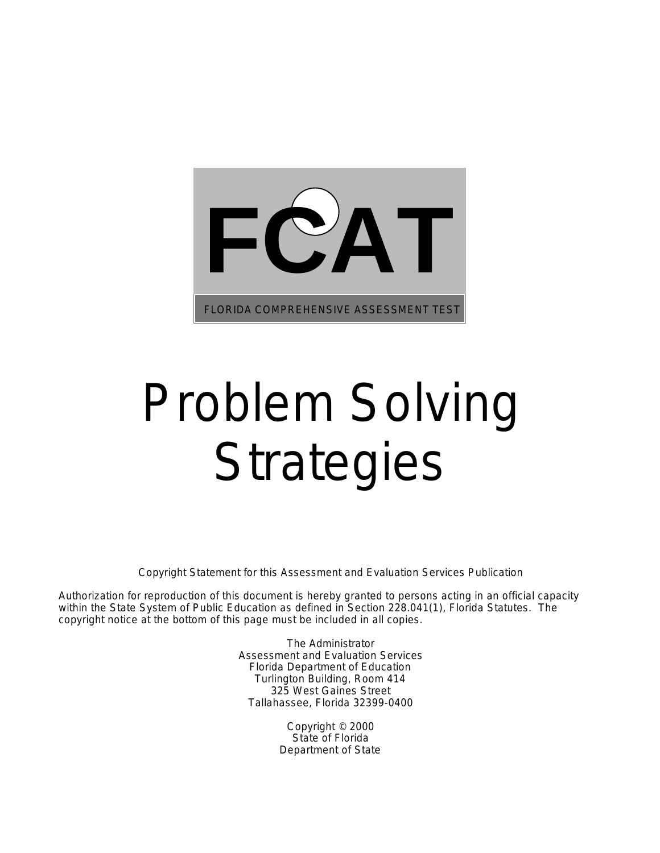

# Problem Solving **Strategies**

Copyright Statement for this Assessment and Evaluation Services Publication

Authorization for reproduction of this document is hereby granted to persons acting in an official capacity within the State System of Public Education as defined in Section 228.041(1), Florida Statutes. The copyright notice at the bottom of this page must be included in all copies.

> The Administrator Assessment and Evaluation Services Florida Department of Education Turlington Building, Room 414 325 West Gaines Street Tallahassee, Florida 32399-0400

> > Copyright © 2000 State of Florida Department of State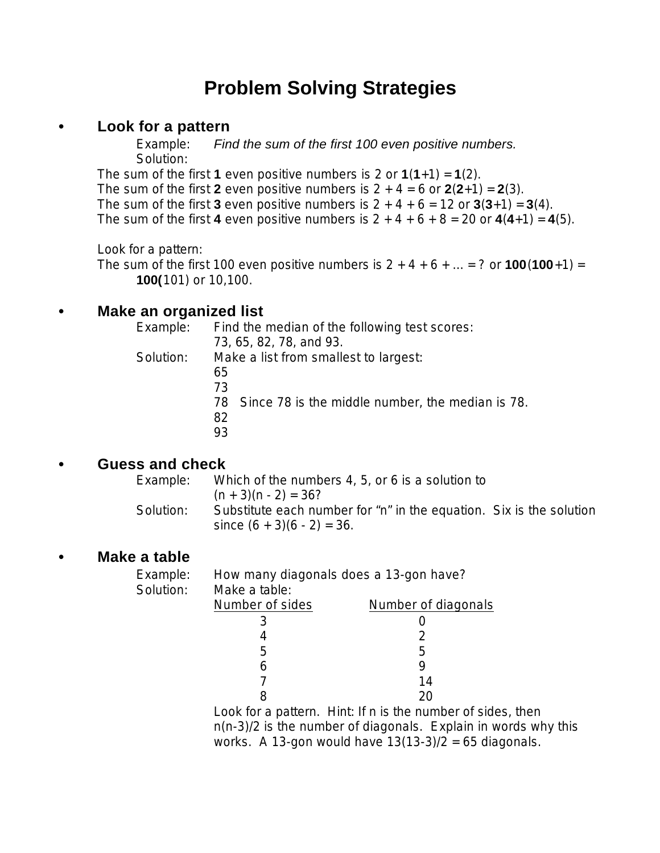### **Problem Solving Strategies**

#### **• Look for a pattern**

Example: *Find the sum of the first 100 even positive numbers.* Solution:

The sum of the first **1** even positive numbers is 2 or  $1(1+1) = 1(2)$ . The sum of the first 2 even positive numbers is  $2 + 4 = 6$  or  $2(2+1) = 2(3)$ . The sum of the first 3 even positive numbers is  $2 + 4 + 6 = 12$  or  $3(3+1) = 3(4)$ . The sum of the first 4 even positive numbers is  $2 + 4 + 6 + 8 = 20$  or  $4(4+1) = 4(5)$ .

Look for a pattern:

The sum of the first 100 even positive numbers is  $2 + 4 + 6 + ... = ?$  or  $100(100+1) =$ **100(**101) or 10,100.

#### **• Make an organized list**

| Example:  | Find the median of the following test scores:          |  |  |
|-----------|--------------------------------------------------------|--|--|
|           | 73, 65, 82, 78, and 93.                                |  |  |
| Solution: | Make a list from smallest to largest:                  |  |  |
|           | 65                                                     |  |  |
|           | 73                                                     |  |  |
|           | Since 78 is the middle number, the median is 78.<br>78 |  |  |
|           | 82                                                     |  |  |
|           | 93                                                     |  |  |
|           |                                                        |  |  |

#### **• Guess and check**

| Example:  | Which of the numbers 4, 5, or 6 is a solution to                                                     |  |  |
|-----------|------------------------------------------------------------------------------------------------------|--|--|
|           | $(n + 3)(n - 2) = 36?$                                                                               |  |  |
| Solution: | Substitute each number for "n" in the equation. Six is the solution<br>since $(6 + 3)(6 - 2) = 36$ . |  |  |

#### **• Make a table**

| Example:<br>Solution: | How many diagonals does a 13-gon have?<br>Make a table:     |                                                                                                                             |  |  |
|-----------------------|-------------------------------------------------------------|-----------------------------------------------------------------------------------------------------------------------------|--|--|
|                       | Number of sides                                             | Number of diagonals                                                                                                         |  |  |
|                       |                                                             |                                                                                                                             |  |  |
|                       | 4                                                           |                                                                                                                             |  |  |
|                       | 5                                                           | 5                                                                                                                           |  |  |
|                       | 6                                                           | 9                                                                                                                           |  |  |
|                       |                                                             | 14                                                                                                                          |  |  |
|                       | 8                                                           | 20                                                                                                                          |  |  |
|                       | Look for a pattern. Hint: If n is the number of sides, then |                                                                                                                             |  |  |
|                       |                                                             | $n(n-3)/2$ is the number of diagonals. Explain in words why this<br>works. A 13-gon would have $13(13-3)/2 = 65$ diagonals. |  |  |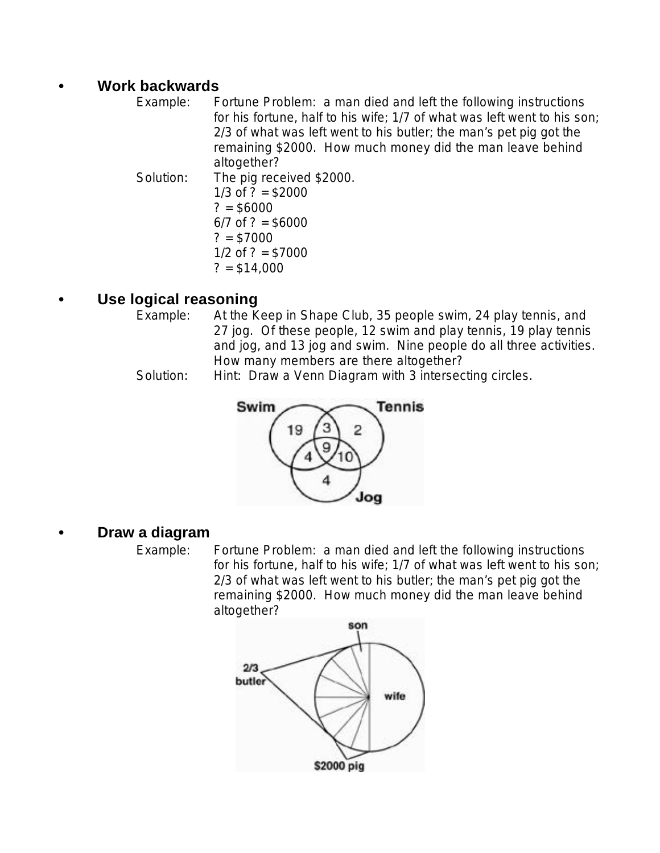#### **• Work backwards**

Example: Fortune Problem: a man died and left the following instructions for his fortune, half to his wife; 1/7 of what was left went to his son; 2/3 of what was left went to his butler; the man's pet pig got the remaining \$2000. How much money did the man leave behind altogether? Solution: The pig received \$2000. 1/3 of  $? = $2000$  $? = $6000$ 

 $6/7$  of ? = \$6000  $? = $7000$  $1/2$  of ? = \$7000  $? = $14,000$ 

#### **• Use logical reasoning**

- Example: At the Keep in Shape Club, 35 people swim, 24 play tennis, and 27 jog. Of these people, 12 swim and play tennis, 19 play tennis and jog, and 13 jog and swim. Nine people do all three activities. How many members are there altogether?
- Solution: Hint: Draw a Venn Diagram with 3 intersecting circles.



#### **• Draw a diagram**

Example: Fortune Problem: a man died and left the following instructions for his fortune, half to his wife; 1/7 of what was left went to his son; 2/3 of what was left went to his butler; the man's pet pig got the remaining \$2000. How much money did the man leave behind altogether?

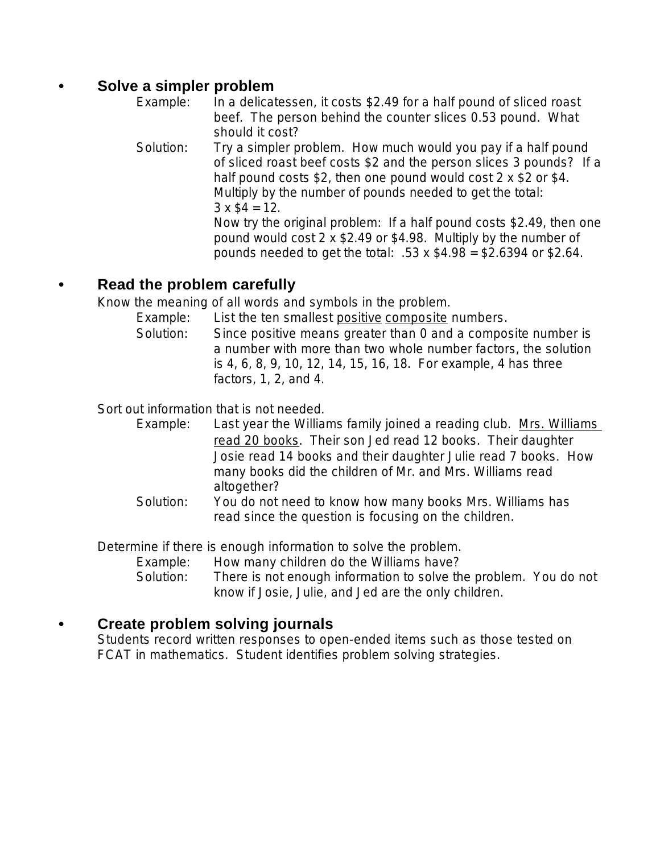#### **• Solve a simpler problem**

- Example: In a delicatessen, it costs \$2.49 for a half pound of sliced roast beef. The person behind the counter slices 0.53 pound. What should it cost?
- Solution: Try a simpler problem. How much would you pay if a half pound of sliced roast beef costs \$2 and the person slices 3 pounds? If a half pound costs \$2, then one pound would cost 2 x \$2 or \$4. Multiply by the number of pounds needed to get the total:  $3 \times $4 = 12$ . Now try the original problem: If a half pound costs \$2.49, then one pound would cost 2 x \$2.49 or \$4.98. Multiply by the number of pounds needed to get the total:  $.53 \times $4.98 = $2.6394$  or \$2.64.

#### **• Read the problem carefully**

Know the meaning of all words and symbols in the problem.

- Example: List the ten smallest positive composite numbers.
- Solution: Since positive means greater than 0 and a composite number is a number with more than two whole number factors, the solution is 4, 6, 8, 9, 10, 12, 14, 15, 16, 18. For example, 4 has three factors, 1, 2, and 4.

Sort out information that is not needed.

- Example: Last year the Williams family joined a reading club. Mrs. Williams read 20 books. Their son Jed read 12 books. Their daughter Josie read 14 books and their daughter Julie read 7 books. How many books did the children of Mr. and Mrs. Williams read altogether?
- Solution: You do not need to know how many books Mrs. Williams has read since the question is focusing on the children.

Determine if there is enough information to solve the problem.

Example: How many children do the Williams have?

Solution: There is not enough information to solve the problem. You do not know if Josie, Julie, and Jed are the only children.

#### **• Create problem solving journals**

Students record written responses to open-ended items such as those tested on FCAT in mathematics. Student identifies problem solving strategies.